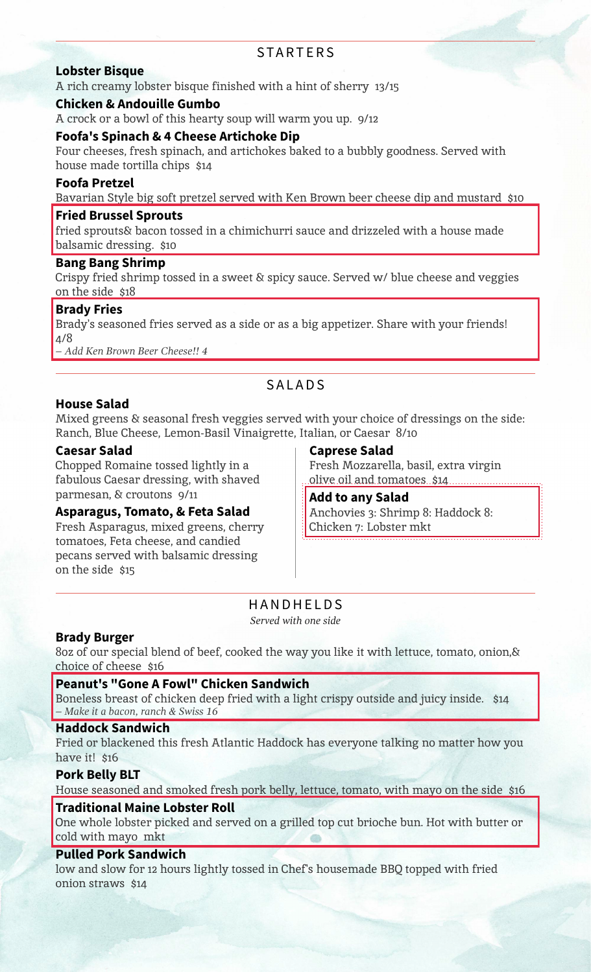### **STARTERS**

#### **Lobster Bisque**

A rich creamy lobster bisque finished with a hint of sherry 13/15

#### **Chicken & Andouille Gumbo**

A crock or a bowl of this hearty soup will warm you up. 9/12

#### **Foofa's Spinach & 4 Cheese Artichoke Dip**

Four cheeses, fresh spinach, and artichokes baked to a bubbly goodness. Served with house made tortilla chips \$14

#### **Foofa Pretzel**

Bavarian Style big soft pretzel served with Ken Brown beer cheese dip and mustard \$10

#### **Fried Brussel Sprouts**

fried sprouts& bacon tossed in a chimichurri sauce and drizzeled with a house made balsamic dressing. \$10

#### **Bang Bang Shrimp**

Crispy fried shrimp tossed in a sweet & spicy sauce. Served w/ blue cheese and veggies on the side \$18

#### **Brady Fries**

Brady's seasoned fries served as a side or as a big appetizer. Share with your friends! 4/8

*– Add Ken Brown Beer Cheese!! 4*

# **SALADS**

#### **House Salad**

Mixed greens & seasonal fresh veggies served with your choice of dressings on the side: Ranch, Blue Cheese, Lemon-Basil Vinaigrette, Italian, or Caesar 8/10

#### **Caesar Salad**

Chopped Romaine tossed lightly in a fabulous Caesar dressing, with shaved parmesan, & croutons 9/11

#### **Asparagus, Tomato, & Feta Salad**

Fresh Asparagus, mixed greens, cherry tomatoes, Feta cheese, and candied pecans served with balsamic dressing on the side \$15

#### **Caprese Salad**

Fresh Mozzarella, basil, extra virgin olive oil and tomatoes \$14.

**Add to any Salad** Anchovies 3: Shrimp 8: Haddock 8: Chicken 7: Lobster mkt

# HANDHELDS

*Served with one side*

#### **Brady Burger**

8oz of our special blend of beef, cooked the way you like it with lettuce, tomato, onion,& choice of cheese \$16

#### **Peanut's "Gone A Fowl" Chicken Sandwich**

Boneless breast of chicken deep fried with a light crispy outside and juicy inside. \$14 *– Make it a bacon, ranch & Swiss 16*

#### **Haddock Sandwich**

Fried or blackened this fresh Atlantic Haddock has everyone talking no matter how you have it! \$16

#### **Pork Belly BLT**

House seasoned and smoked fresh pork belly, lettuce, tomato, with mayo on the side \$16

#### **Traditional Maine Lobster Roll**

One whole lobster picked and served on a grilled top cut brioche bun. Hot with butter or cold with mayo mkt

#### **Pulled Pork Sandwich**

low and slow for 12 hours lightly tossed in Chef's housemade BBQ topped with fried onion straws \$14